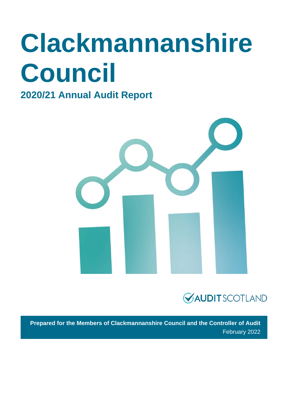# **Clackmannanshire Council**

#### **2020/21 Annual Audit Report**





**Prepared for the Members of Clackmannanshire Council and the Controller of Audit** February 2022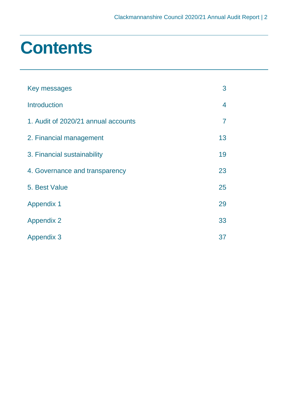### **Contents**

| Key messages                        | 3              |
|-------------------------------------|----------------|
| <b>Introduction</b>                 | 4              |
| 1. Audit of 2020/21 annual accounts | $\overline{7}$ |
| 2. Financial management             | 13             |
| 3. Financial sustainability         | 19             |
| 4. Governance and transparency      | 23             |
| 5. Best Value                       | 25             |
| <b>Appendix 1</b>                   | 29             |
| <b>Appendix 2</b>                   | 33             |
| <b>Appendix 3</b>                   | 37             |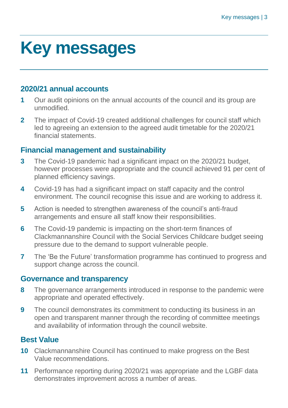### <span id="page-2-0"></span>**Key messages**

#### **2020/21 annual accounts**

- **1** Our audit opinions on the annual accounts of the council and its group are unmodified.
- **2** The impact of Covid-19 created additional challenges for council staff which led to agreeing an extension to the agreed audit timetable for the 2020/21 financial statements.

#### **Financial management and sustainability**

- **3** The Covid-19 pandemic had a significant impact on the 2020/21 budget, however processes were appropriate and the council achieved 91 per cent of planned efficiency savings.
- **4** Covid-19 has had a significant impact on staff capacity and the control environment. The council recognise this issue and are working to address it.
- **5** Action is needed to strengthen awareness of the council's anti-fraud arrangements and ensure all staff know their responsibilities.
- **6** The Covid-19 pandemic is impacting on the short-term finances of Clackmannanshire Council with the Social Services Childcare budget seeing pressure due to the demand to support vulnerable people.
- **7** The 'Be the Future' transformation programme has continued to progress and support change across the council.

#### **Governance and transparency**

- **8** The governance arrangements introduced in response to the pandemic were appropriate and operated effectively.
- **9** The council demonstrates its commitment to conducting its business in an open and transparent manner through the recording of committee meetings and availability of information through the council website.

#### **Best Value**

- **10** Clackmannanshire Council has continued to make progress on the Best Value recommendations.
- **11** Performance reporting during 2020/21 was appropriate and the LGBF data demonstrates improvement across a number of areas.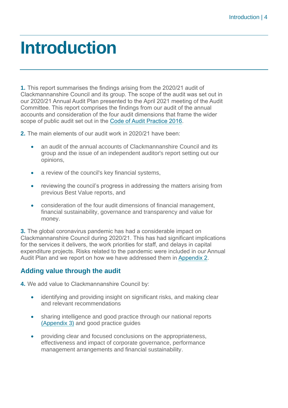### <span id="page-3-0"></span>**Introduction**

**1.** This report summarises the findings arising from the 2020/21 audit of Clackmannanshire Council and its group. The scope of the audit was set out in our 2020/21 Annual Audit Plan presented to the April 2021 meeting of the Audit Committee. This report comprises the findings from our audit of the annual accounts and consideration of the four audit dimensions that frame the wider scope of public audit set out in the [Code of Audit Practice 2016.](http://www.audit-scotland.gov.uk/report/code-of-audit-practice-2016)

**2.** The main elements of our audit work in 2020/21 have been:

- an audit of the annual accounts of Clackmannanshire Council and its group and the issue of an independent auditor's report setting out our opinions,
- a review of the council's key financial systems,
- reviewing the council's progress in addressing the matters arising from previous Best Value reports, and
- consideration of the four audit dimensions of financial management, financial sustainability, governance and transparency and value for money.

**3.** The global coronavirus pandemic has had a considerable impact on Clackmannanshire Council during 2020/21. This has had significant implications for the services it delivers, the work priorities for staff, and delays in capital expenditure projects. Risks related to the pandemic were included in our Annual Audit Plan and we report on how we have addressed them in Appendix 2.

#### **Adding value through the audit**

**4.** We add value to Clackmannanshire Council by:

- identifying and providing insight on significant risks, and making clear and relevant recommendations
- sharing intelligence and good practice through our national reports [\(Appendix 3\)](#page-36-0) and good practice guides
- providing clear and focused conclusions on the appropriateness, effectiveness and impact of corporate governance, performance management arrangements and financial sustainability.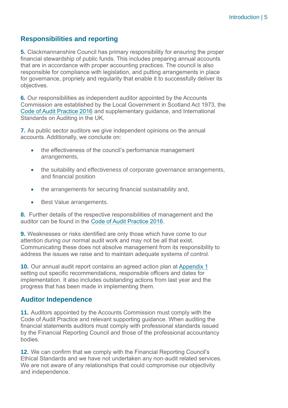#### **Responsibilities and reporting**

**5.** Clackmannanshire Council has primary responsibility for ensuring the proper financial stewardship of public funds. This includes preparing annual accounts that are in accordance with proper accounting practices. The council is also responsible for compliance with legislation, and putting arrangements in place for governance, propriety and regularity that enable it to successfully deliver its objectives.

**6.** Our responsibilities as independent auditor appointed by the Accounts Commission are established by the Local Government in Scotland Act 1973, the [Code of Audit Practice 2016](http://www.audit-scotland.gov.uk/report/code-of-audit-practice-2016) and supplementary guidance, and International Standards on Auditing in the UK.

**7.** As public sector auditors we give independent opinions on the annual accounts. Additionally, we conclude on:

- the effectiveness of the council's performance management arrangements,
- the suitability and effectiveness of corporate governance arrangements, and financial position
- the arrangements for securing financial sustainability and,
- Best Value arrangements.

**8.** Further details of the respective responsibilities of management and the auditor can be found in the [Code of Audit Practice 2016.](http://www.audit-scotland.gov.uk/report/code-of-audit-practice-2016)

**9.** Weaknesses or risks identified are only those which have come to our attention during our normal audit work and may not be all that exist. Communicating these does not absolve management from its responsibility to address the issues we raise and to maintain adequate systems of control.

**10.** Our annual audit report contains an agreed action plan at [Appendix 1](#page-28-0) setting out specific recommendations, responsible officers and dates for implementation. It also includes outstanding actions from last year and the progress that has been made in implementing them.

#### **Auditor Independence**

**11.** Auditors appointed by the Accounts Commission must comply with the Code of Audit Practice and relevant supporting guidance. When auditing the financial statements auditors must comply with professional standards issued by the Financial Reporting Council and those of the professional accountancy bodies.

**12.** We can confirm that we comply with the Financial Reporting Council's Ethical Standards and we have not undertaken any non-audit related services. We are not aware of any relationships that could compromise our objectivity and independence.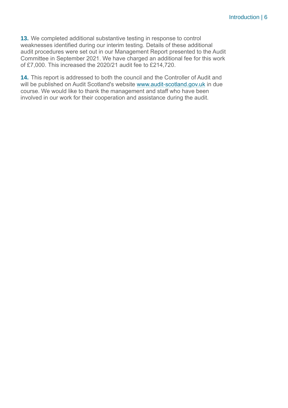**13.** We completed additional substantive testing in response to control weaknesses identified during our interim testing. Details of these additional audit procedures were set out in our Management Report presented to the Audit Committee in September 2021. We have charged an additional fee for this work of £7,000. This increased the 2020/21 audit fee to £214,720.

**14.** This report is addressed to both the council and the Controller of Audit and will be published on Audit Scotland's website [www.audit-scotland.gov.uk](http://www.audit-scotland.gov.uk/) in due course. We would like to thank the management and staff who have been involved in our work for their cooperation and assistance during the audit.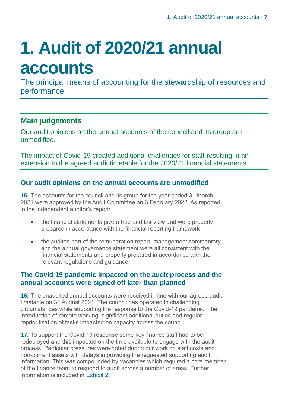## <span id="page-6-0"></span>**1. Audit of 2020/21 annual accounts**

The principal means of accounting for the stewardship of resources and performance

#### **Main judgements**

Our audit opinions on the annual accounts of the council and its group are unmodified.

The impact of Covid-19 created additional challenges for staff resulting in an extension to the agreed audit timetable for the 2020/21 financial statements.

#### **Our audit opinions on the annual accounts are unmodified**

**15.** The accounts for the council and its group for the year ended 31 March 2021 were approved by the Audit Committee on 3 February 2022. As reported in the independent auditor's report:

- the financial statements give a true and fair view and were properly prepared in accordance with the financial reporting framework
- the audited part of the remuneration report, management commentary and the annual governance statement were all consistent with the financial statements and properly prepared in accordance with the relevant regulations and guidance

#### **The Covid 19 pandemic impacted on the audit process and the annual accounts were signed off later than planned**

**16.** The unaudited annual accounts were received in line with our agreed audit timetable on 31 August 2021. The council has operated in challenging circumstances while supporting the response to the Covid-19 pandemic. The introduction of remote working, significant additional duties and regular reprioritisation of tasks impacted on capacity across the council.

**17.** To support the Covid-19 response some key finance staff had to be redeployed and this impacted on the time available to engage with the audit process. Particular pressures were noted during our work on staff costs and non-current assets with delays in providing the requested supporting audit information. This was compounded by vacancies which required a core member of the finance team to respond to audit across a number of areas. Further information is included in Exhibit 2.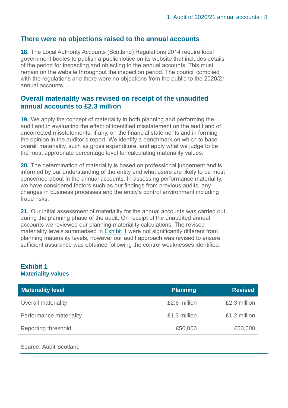#### **There were no objections raised to the annual accounts**

**18.** The Local Authority Accounts (Scotland) Regulations 2014 require local government bodies to publish a public notice on its website that includes details of the period for inspecting and objecting to the annual accounts. This must remain on the website throughout the inspection period. The council complied with the regulations and there were no objections from the public to the 2020/21 annual accounts.

#### **Overall materiality was revised on receipt of the unaudited annual accounts to £2.3 million**

**19.** We apply the concept of materiality in both planning and performing the audit and in evaluating the effect of identified misstatement on the audit and of uncorrected misstatements, if any, on the financial statements and in forming the opinion in the auditor's report. We identify a benchmark on which to base overall materiality, such as gross expenditure, and apply what we judge to be the most appropriate percentage level for calculating materiality values.

**20.** The determination of materiality is based on professional judgement and is informed by our understanding of the entity and what users are likely to be most concerned about in the annual accounts. In assessing performance materiality, we have considered factors such as our findings from previous audits, any changes in business processes and the entity's control environment including fraud risks.

**21.** Our initial assessment of materiality for the annual accounts was carried out during the planning phase of the audit. On receipt of the unaudited annual accounts we reviewed our planning materiality calculations. The revised materiality levels summarised in [Exhibit 1](#page-7-0) were not significantly different from planning materiality levels, however our audit approach was revised to ensure sufficient assurance was obtained following the control weaknesses identified.

#### <span id="page-7-0"></span>**Exhibit 1 Materiality values**

| <b>Materiality level</b>   | <b>Planning</b> | <b>Revised</b> |
|----------------------------|-----------------|----------------|
| <b>Overall materiality</b> | £2.6 million    | £2.3 million   |
| Performance materiality    | £1.3 million    | £1.2 million   |
| <b>Reporting threshold</b> | £50,000         | £50,000        |

Source: Audit Scotland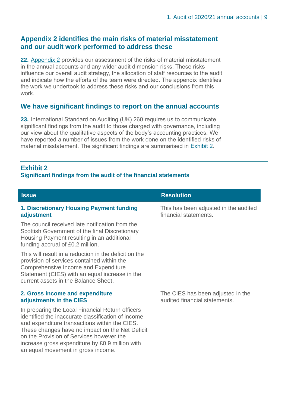#### **Appendix 2 identifies the main risks of material misstatement and our audit work performed to address these**

**22.** Appendix 2 provides our assessment of the risks of material misstatement in the annual accounts and any wider audit dimension risks. These risks influence our overall audit strategy, the allocation of staff resources to the audit and indicate how the efforts of the team were directed. The appendix identifies the work we undertook to address these risks and our conclusions from this work.

#### **We have significant findings to report on the annual accounts**

**23.** International Standard on Auditing (UK) 260 requires us to communicate significant findings from the audit to those charged with governance, including our view about the qualitative aspects of the body's accounting practices. We have reported a number of issues from the work done on the identified risks of material misstatement. The significant findings are summarised in [Exhibit 2.](#page-8-0)

#### <span id="page-8-0"></span>**Exhibit 2**

#### **Significant findings from the audit of the financial statements**

| <b>Issue</b>                                                                                                                                                                                                                                                                                                                                    | <b>Resolution</b>                                                  |
|-------------------------------------------------------------------------------------------------------------------------------------------------------------------------------------------------------------------------------------------------------------------------------------------------------------------------------------------------|--------------------------------------------------------------------|
| 1. Discretionary Housing Payment funding<br>adjustment                                                                                                                                                                                                                                                                                          | This has been adjusted in the audited<br>financial statements.     |
| The council received late notification from the<br>Scottish Government of the final Discretionary<br>Housing Payment resulting in an additional<br>funding accrual of £0.2 million.                                                                                                                                                             |                                                                    |
| This will result in a reduction in the deficit on the<br>provision of services contained within the<br>Comprehensive Income and Expenditure<br>Statement (CIES) with an equal increase in the<br>current assets in the Balance Sheet.                                                                                                           |                                                                    |
| 2. Gross income and expenditure<br>adjustments in the CIES                                                                                                                                                                                                                                                                                      | The CIES has been adjusted in the<br>audited financial statements. |
| In preparing the Local Financial Return officers<br>identified the inaccurate classification of income<br>and expenditure transactions within the CIES.<br>These changes have no impact on the Net Deficit<br>on the Provision of Services however the<br>increase gross expenditure by £0.9 million with<br>an equal movement in gross income. |                                                                    |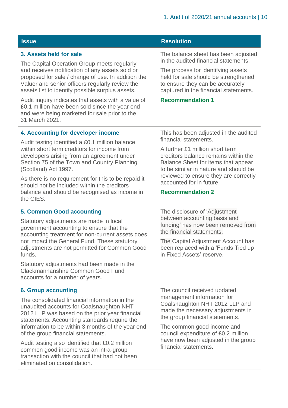| <b>Issue</b>                                                                                                                                                                                                                                                               | <b>Resolution</b>                                                                                                                                                                                                            |  |  |
|----------------------------------------------------------------------------------------------------------------------------------------------------------------------------------------------------------------------------------------------------------------------------|------------------------------------------------------------------------------------------------------------------------------------------------------------------------------------------------------------------------------|--|--|
| 3. Assets held for sale                                                                                                                                                                                                                                                    | The balance sheet has been adjusted<br>in the audited financial statements.                                                                                                                                                  |  |  |
| The Capital Operation Group meets regularly<br>and receives notification of any assets sold or<br>proposed for sale / change of use. In addition the<br>Valuer and senior officers regularly review the<br>assets list to identify possible surplus assets.                | The process for identifying assets<br>held for sale should be strengthened<br>to ensure they can be accurately<br>captured in the financial statements.                                                                      |  |  |
| Audit inquiry indicates that assets with a value of<br>£0.1 million have been sold since the year end<br>and were being marketed for sale prior to the<br>31 March 2021.                                                                                                   | <b>Recommendation 1</b>                                                                                                                                                                                                      |  |  |
| 4. Accounting for developer income                                                                                                                                                                                                                                         | This has been adjusted in the audited<br>financial statements.                                                                                                                                                               |  |  |
| Audit testing identified a £0.1 million balance<br>within short term creditors for income from<br>developers arising from an agreement under<br>Section 75 of the Town and Country Planning<br>(Scotland) Act 1997.<br>As there is no requirement for this to be repaid it | A further £1 million short term<br>creditors balance remains within the<br>Balance Sheet for items that appear<br>to be similar in nature and should be<br>reviewed to ensure they are correctly<br>accounted for in future. |  |  |
| should not be included within the creditors<br>balance and should be recognised as income in<br>the CIES.                                                                                                                                                                  | <b>Recommendation 2</b>                                                                                                                                                                                                      |  |  |
| <b>5. Common Good accounting</b>                                                                                                                                                                                                                                           | The disclosure of 'Adjustment                                                                                                                                                                                                |  |  |
| Statutory adjustments are made in local<br>government accounting to ensure that the<br>accounting treatment for non-current assets does                                                                                                                                    | between accounting basis and<br>funding' has now been removed from<br>the financial statements.                                                                                                                              |  |  |
| not impact the General Fund. These statutory<br>adjustments are not permitted for Common Good<br>funds.                                                                                                                                                                    | The Capital Adjustment Account has<br>been replaced with a 'Funds Tied up<br>in Fixed Assets' reserve.                                                                                                                       |  |  |
| Statutory adjustments had been made in the<br>Clackmannanshire Common Good Fund<br>accounts for a number of years.                                                                                                                                                         |                                                                                                                                                                                                                              |  |  |
| <b>6. Group accounting</b>                                                                                                                                                                                                                                                 | The council received updated                                                                                                                                                                                                 |  |  |
| The consolidated financial information in the                                                                                                                                                                                                                              | management information for                                                                                                                                                                                                   |  |  |

unaudited accounts for Coalsnaughton NHT 2012 LLP was based on the prior year financial statements. Accounting standards require the information to be within 3 months of the year end of the group financial statements.

Audit testing also identified that £0.2 million common good income was an intra-group transaction with the council that had not been eliminated on consolidation.

Coalsnaughton NHT 2012 LLP and made the necessary adjustments in the group financial statements.

The common good income and council expenditure of £0.2 million have now been adjusted in the group financial statements.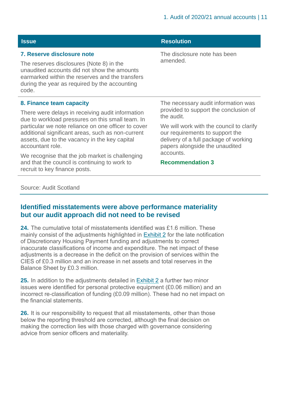| <b>Issue</b>                                                                                                                                                                                                                       | <b>Resolution</b>                                                                                                                                                                              |  |
|------------------------------------------------------------------------------------------------------------------------------------------------------------------------------------------------------------------------------------|------------------------------------------------------------------------------------------------------------------------------------------------------------------------------------------------|--|
| 7. Reserve disclosure note<br>The reserves disclosures (Note 8) in the<br>unaudited accounts did not show the amounts<br>earmarked within the reserves and the transfers<br>during the year as required by the accounting<br>code. | The disclosure note has been<br>amended.                                                                                                                                                       |  |
| 8. Finance team capacity<br>There were delays in receiving audit information<br>due to workload pressures on this small team. In                                                                                                   | The necessary audit information was<br>provided to support the conclusion of<br>the audit.                                                                                                     |  |
| particular we note reliance on one officer to cover<br>additional significant areas, such as non-current<br>assets, due to the vacancy in the key capital<br>accountant role.                                                      | We will work with the council to clarify<br>our requirements to support the<br>delivery of a full package of working<br>papers alongside the unaudited<br>accounts.<br><b>Recommendation 3</b> |  |
| We recognise that the job market is challenging<br>and that the council is continuing to work to<br>recruit to key finance posts.                                                                                                  |                                                                                                                                                                                                |  |

#### Source: Audit Scotland

#### **Identified misstatements were above performance materiality but our audit approach did not need to be revised**

**24.** The cumulative total of misstatements identified was £1.6 million. These mainly consist of the adjustments highlighted in Exhibit 2 for the late notification of Discretionary Housing Payment funding and adjustments to correct inaccurate classifications of income and expenditure. The net impact of these adjustments is a decrease in the deficit on the provision of services within the CIES of £0.3 million and an increase in net assets and total reserves in the Balance Sheet by £0.3 million.

**25.** In addition to the adjustments detailed in Exhibit 2 a further two minor issues were identified for personal protective equipment (£0.06 million) and an incorrect re-classification of funding (£0.09 million). These had no net impact on the financial statements.

**26.** It is our responsibility to request that all misstatements, other than those below the reporting threshold are corrected, although the final decision on making the correction lies with those charged with governance considering advice from senior officers and materiality.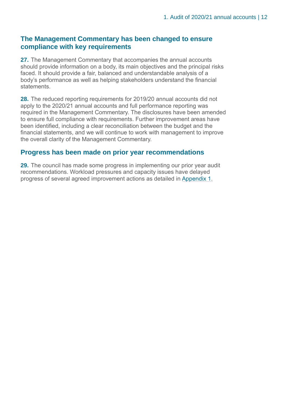#### **The Management Commentary has been changed to ensure compliance with key requirements**

**27.** The Management Commentary that accompanies the annual accounts should provide information on a body, its main objectives and the principal risks faced. It should provide a fair, balanced and understandable analysis of a body's performance as well as helping stakeholders understand the financial statements.

**28.** The reduced reporting requirements for 2019/20 annual accounts did not apply to the 2020/21 annual accounts and full performance reporting was required in the Management Commentary. The disclosures have been amended to ensure full compliance with requirements. Further improvement areas have been identified, including a clear reconciliation between the budget and the financial statements, and we will continue to work with management to improve the overall clarity of the Management Commentary.

#### **Progress has been made on prior year recommendations**

**29.** The council has made some progress in implementing our prior year audit recommendations. Workload pressures and capacity issues have delayed progress of several agreed improvement actions as detailed in [Appendix 1.](#page-28-0)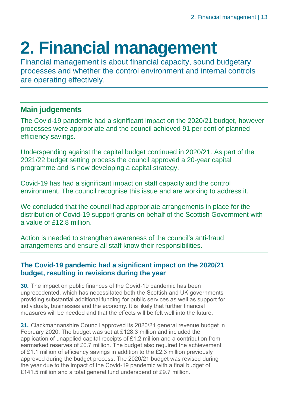## <span id="page-12-0"></span>**2. Financial management**

Financial management is about financial capacity, sound budgetary processes and whether the control environment and internal controls are operating effectively.

#### **Main judgements**

The Covid-19 pandemic had a significant impact on the 2020/21 budget, however processes were appropriate and the council achieved 91 per cent of planned efficiency savings.

Underspending against the capital budget continued in 2020/21. As part of the 2021/22 budget setting process the council approved a 20-year capital programme and is now developing a capital strategy.

Covid-19 has had a significant impact on staff capacity and the control environment. The council recognise this issue and are working to address it.

We concluded that the council had appropriate arrangements in place for the distribution of Covid-19 support grants on behalf of the Scottish Government with a value of £12.8 million.

Action is needed to strengthen awareness of the council's anti-fraud arrangements and ensure all staff know their responsibilities.

#### **The Covid-19 pandemic had a significant impact on the 2020/21 budget, resulting in revisions during the year**

**30.** The impact on public finances of the Covid-19 pandemic has been unprecedented, which has necessitated both the Scottish and UK governments providing substantial additional funding for public services as well as support for individuals, businesses and the economy. It is likely that further financial measures will be needed and that the effects will be felt well into the future.

**31.** Clackmannanshire Council approved its 2020/21 general revenue budget in February 2020. The budget was set at £128.3 million and included the application of unapplied capital receipts of £1.2 million and a contribution from earmarked reserves of £0.7 million. The budget also required the achievement of £1.1 million of efficiency savings in addition to the £2.3 million previously approved during the budget process. The 2020/21 budget was revised during the year due to the impact of the Covid-19 pandemic with a final budget of £141.5 million and a total general fund underspend of £9.7 million.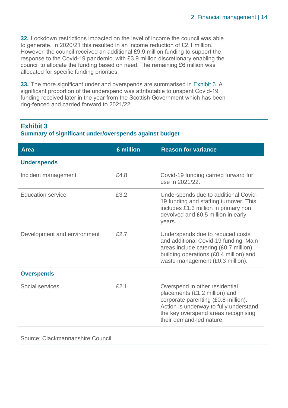**32.** Lockdown restrictions impacted on the level of income the council was able to generate. In 2020/21 this resulted in an income reduction of £2.1 million. However, the council received an additional £9.9 million funding to support the response to the Covid-19 pandemic, with £3.9 million discretionary enabling the council to allocate the funding based on need. The remaining £6 million was allocated for specific funding priorities.

**33.** The more significant under and overspends are summarised in [Exhibit 3.](#page-13-0) A significant proportion of the underspend was attributable to unspent Covid-19 funding received later in the year from the Scottish Government which has been ring-fenced and carried forward to 2021/22.

#### <span id="page-13-0"></span>**Exhibit 3 Summary of significant under/overspends against budget**

| £ million | <b>Reason for variance</b>                                                                                                                                                                                          |
|-----------|---------------------------------------------------------------------------------------------------------------------------------------------------------------------------------------------------------------------|
|           |                                                                                                                                                                                                                     |
| £4.8      | Covid-19 funding carried forward for<br>use in 2021/22.                                                                                                                                                             |
| £3.2      | Underspends due to additional Covid-<br>19 funding and staffing turnover. This<br>includes £1.3 million in primary non<br>devolved and £0.5 million in early<br>years.                                              |
| £2.7      | Underspends due to reduced costs<br>and additional Covid-19 funding. Main<br>areas include catering (£0.7 million),<br>building operations (£0.4 million) and<br>waste management (£0.3 million).                   |
|           |                                                                                                                                                                                                                     |
| £2.1      | Overspend in other residential<br>placements (£1.2 million) and<br>corporate parenting (£0.8 million).<br>Action is underway to fully understand<br>the key overspend areas recognising<br>their demand-led nature. |
|           |                                                                                                                                                                                                                     |

Source: Clackmannanshire Council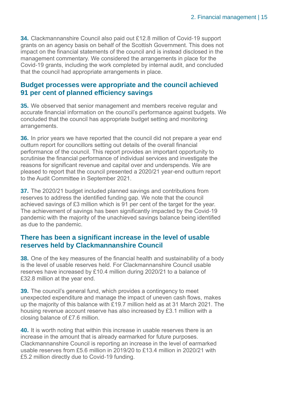**34.** Clackmannanshire Council also paid out £12.8 million of Covid-19 support grants on an agency basis on behalf of the Scottish Government. This does not impact on the financial statements of the council and is instead disclosed in the management commentary. We considered the arrangements in place for the Covid-19 grants, including the work completed by internal audit, and concluded that the council had appropriate arrangements in place.

#### **Budget processes were appropriate and the council achieved 91 per cent of planned efficiency savings**

**35.** We observed that senior management and members receive regular and accurate financial information on the council's performance against budgets. We concluded that the council has appropriate budget setting and monitoring arrangements.

**36.** In prior years we have reported that the council did not prepare a year end outturn report for councillors setting out details of the overall financial performance of the council. This report provides an important opportunity to scrutinise the financial performance of individual services and investigate the reasons for significant revenue and capital over and underspends. We are pleased to report that the council presented a 2020/21 year-end outturn report to the Audit Committee in September 2021.

**37.** The 2020/21 budget included planned savings and contributions from reserves to address the identified funding gap. We note that the council achieved savings of £3 million which is 91 per cent of the target for the year. The achievement of savings has been significantly impacted by the Covid-19 pandemic with the majority of the unachieved savings balance being identified as due to the pandemic.

#### **There has been a significant increase in the level of usable reserves held by Clackmannanshire Council**

**38.** One of the key measures of the financial health and sustainability of a body is the level of usable reserves held. For Clackmannanshire Council usable reserves have increased by £10.4 million during 2020/21 to a balance of £32.8 million at the year end.

**39.** The council's general fund, which provides a contingency to meet unexpected expenditure and manage the impact of uneven cash flows, makes up the majority of this balance with £19.7 million held as at 31 March 2021. The housing revenue account reserve has also increased by £3.1 million with a closing balance of £7.6 million.

**40.** It is worth noting that within this increase in usable reserves there is an increase in the amount that is already earmarked for future purposes. Clackmannanshire Council is reporting an increase in the level of earmarked usable reserves from £5.6 million in 2019/20 to £13.4 million in 2020/21 with £5.2 million directly due to Covid-19 funding.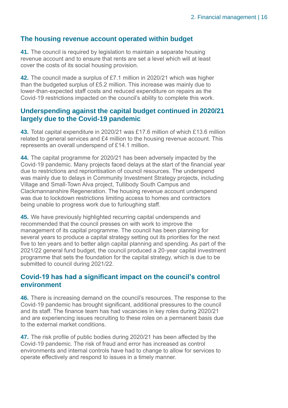#### **The housing revenue account operated within budget**

**41.** The council is required by legislation to maintain a separate housing revenue account and to ensure that rents are set a level which will at least cover the costs of its social housing provision.

**42.** The council made a surplus of £7.1 million in 2020/21 which was higher than the budgeted surplus of £5.2 million. This increase was mainly due to lower-than-expected staff costs and reduced expenditure on repairs as the Covid-19 restrictions impacted on the council's ability to complete this work.

#### **Underspending against the capital budget continued in 2020/21 largely due to the Covid-19 pandemic**

**43.** Total capital expenditure in 2020/21 was £17.6 million of which £13.6 million related to general services and £4 million to the housing revenue account. This represents an overall underspend of £14.1 million.

**44.** The capital programme for 2020/21 has been adversely impacted by the Covid-19 pandemic. Many projects faced delays at the start of the financial year due to restrictions and reprioritisation of council resources. The underspend was mainly due to delays in Community Investment Strategy projects, including Village and Small-Town Alva project, Tullibody South Campus and Clackmannanshire Regeneration. The housing revenue account underspend was due to lockdown restrictions limiting access to homes and contractors being unable to progress work due to furloughing staff.

**45.** We have previously highlighted recurring capital underspends and recommended that the council presses on with work to improve the management of its capital programme. The council has been planning for several years to produce a capital strategy setting out its priorities for the next five to ten years and to better align capital planning and spending. As part of the 2021/22 general fund budget, the council produced a 20-year capital investment programme that sets the foundation for the capital strategy, which is due to be submitted to council during 2021/22.

#### **Covid-19 has had a significant impact on the council's control environment**

**46.** There is increasing demand on the council's resources. The response to the Covid-19 pandemic has brought significant, additional pressures to the council and its staff. The finance team has had vacancies in key roles during 2020/21 and are experiencing issues recruiting to these roles on a permanent basis due to the external market conditions.

**47.** The risk profile of public bodies during 2020/21 has been affected by the Covid-19 pandemic. The risk of fraud and error has increased as control environments and internal controls have had to change to allow for services to operate effectively and respond to issues in a timely manner.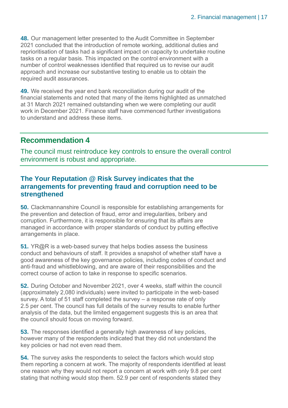**48.** Our management letter presented to the Audit Committee in September 2021 concluded that the introduction of remote working, additional duties and reprioritisation of tasks had a significant impact on capacity to undertake routine tasks on a regular basis. This impacted on the control environment with a number of control weaknesses identified that required us to revise our audit approach and increase our substantive testing to enable us to obtain the required audit assurances.

**49.** We received the year end bank reconciliation during our audit of the financial statements and noted that many of the items highlighted as unmatched at 31 March 2021 remained outstanding when we were completing our audit work in December 2021. Finance staff have commenced further investigations to understand and address these items.

#### **Recommendation 4**

The council must reintroduce key controls to ensure the overall control environment is robust and appropriate.

#### **The Your Reputation @ Risk Survey indicates that the arrangements for preventing fraud and corruption need to be strengthened**

**50.** Clackmannanshire Council is responsible for establishing arrangements for the prevention and detection of fraud, error and irregularities, bribery and corruption. Furthermore, it is responsible for ensuring that its affairs are managed in accordance with proper standards of conduct by putting effective arrangements in place.

**51.** YR@R is a web-based survey that helps bodies assess the business conduct and behaviours of staff. It provides a snapshot of whether staff have a good awareness of the key governance policies, including codes of conduct and anti-fraud and whistleblowing, and are aware of their responsibilities and the correct course of action to take in response to specific scenarios.

**52.** During October and November 2021, over 4 weeks, staff within the council (approximately 2,080 individuals) were invited to participate in the web-based survey. A total of 51 staff completed the survey – a response rate of only 2.5 per cent. The council has full details of the survey results to enable further analysis of the data, but the limited engagement suggests this is an area that the council should focus on moving forward.

**53.** The responses identified a generally high awareness of key policies, however many of the respondents indicated that they did not understand the key policies or had not even read them.

**54.** The survey asks the respondents to select the factors which would stop them reporting a concern at work. The majority of respondents identified at least one reason why they would not report a concern at work with only 9.8 per cent stating that nothing would stop them. 52.9 per cent of respondents stated they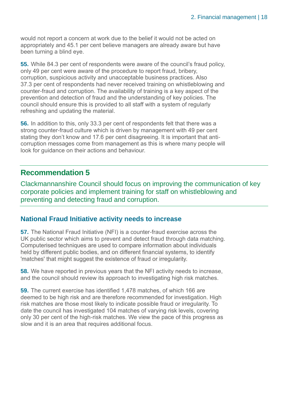would not report a concern at work due to the belief it would not be acted on appropriately and 45.1 per cent believe managers are already aware but have been turning a blind eye.

**55.** While 84.3 per cent of respondents were aware of the council's fraud policy, only 49 per cent were aware of the procedure to report fraud, bribery, corruption, suspicious activity and unacceptable business practices. Also 37.3 per cent of respondents had never received training on whistleblowing and counter-fraud and corruption. The availability of training is a key aspect of the prevention and detection of fraud and the understanding of key policies. The council should ensure this is provided to all staff with a system of regularly refreshing and updating the material.

**56.** In addition to this, only 33.3 per cent of respondents felt that there was a strong counter-fraud culture which is driven by management with 49 per cent stating they don't know and 17.6 per cent disagreeing. It is important that anticorruption messages come from management as this is where many people will look for guidance on their actions and behaviour.

#### **Recommendation 5**

Clackmannanshire Council should focus on improving the communication of key corporate policies and implement training for staff on whistleblowing and preventing and detecting fraud and corruption.

#### **National Fraud Initiative activity needs to increase**

**57.** The National Fraud Initiative (NFI) is a counter-fraud exercise across the UK public sector which aims to prevent and detect fraud through data matching. Computerised techniques are used to compare information about individuals held by different public bodies, and on different financial systems, to identify 'matches' that might suggest the existence of fraud or irregularity.

**58.** We have reported in previous years that the NFI activity needs to increase, and the council should review its approach to investigating high risk matches.

**59.** The current exercise has identified 1,478 matches, of which 166 are deemed to be high risk and are therefore recommended for investigation. High risk matches are those most likely to indicate possible fraud or irregularity. To date the council has investigated 104 matches of varying risk levels, covering only 30 per cent of the high-risk matches. We view the pace of this progress as slow and it is an area that requires additional focus.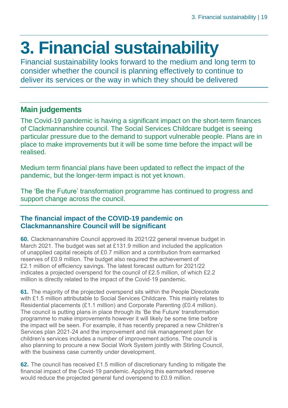## <span id="page-18-0"></span>**3. Financial sustainability**

Financial sustainability looks forward to the medium and long term to consider whether the council is planning effectively to continue to deliver its services or the way in which they should be delivered

#### **Main judgements**

The Covid-19 pandemic is having a significant impact on the short-term finances of Clackmannanshire council. The Social Services Childcare budget is seeing particular pressure due to the demand to support vulnerable people. Plans are in place to make improvements but it will be some time before the impact will be realised.

Medium term financial plans have been updated to reflect the impact of the pandemic, but the longer-term impact is not yet known.

The 'Be the Future' transformation programme has continued to progress and support change across the council.

#### **The financial impact of the COVID-19 pandemic on Clackmannanshire Council will be significant**

**60.** Clackmannanshire Council approved its 2021/22 general revenue budget in March 2021. The budget was set at £131.9 million and included the application of unapplied capital receipts of £0.7 million and a contribution from earmarked reserves of £0.9 million. The budget also required the achievement of £2.1 million of efficiency savings. The latest forecast outturn for 2021/22 indicates a projected overspend for the council of £2.5 million, of which £2.2 million is directly related to the impact of the Covid-19 pandemic.

**61.** The majority of the projected overspend sits within the People Directorate with £1.5 million attributable to Social Services Childcare. This mainly relates to Residential placements (£1.1 million) and Corporate Parenting (£0.4 million). The council is putting plans in place through its 'Be the Future' transformation programme to make improvements however it will likely be some time before the impact will be seen. For example, it has recently prepared a new Children's Services plan 2021-24 and the improvement and risk management plan for children's services includes a number of improvement actions. The council is also planning to procure a new Social Work System jointly with Stirling Council, with the business case currently under development.

**62.** The council has received £1.5 million of discretionary funding to mitigate the financial impact of the Covid-19 pandemic. Applying this earmarked reserve would reduce the projected general fund overspend to £0.9 million.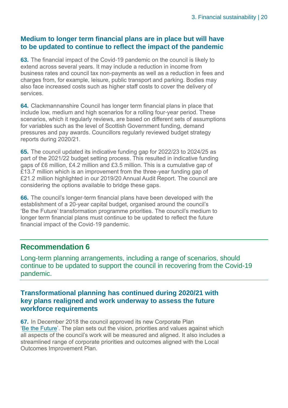#### **Medium to longer term financial plans are in place but will have to be updated to continue to reflect the impact of the pandemic**

**63.** The financial impact of the Covid-19 pandemic on the council is likely to extend across several years. It may include a reduction in income from business rates and council tax non-payments as well as a reduction in fees and charges from, for example, leisure, public transport and parking. Bodies may also face increased costs such as higher staff costs to cover the delivery of services.

**64.** Clackmannanshire Council has longer term financial plans in place that include low, medium and high scenarios for a rolling four-year period. These scenarios, which it regularly reviews, are based on different sets of assumptions for variables such as the level of Scottish Government funding, demand pressures and pay awards. Councillors regularly reviewed budget strategy reports during 2020/21.

**65.** The council updated its indicative funding gap for 2022/23 to 2024/25 as part of the 2021/22 budget setting process. This resulted in indicative funding gaps of £6 million, £4.2 million and £3.5 million. This is a cumulative gap of £13.7 million which is an improvement from the three-year funding gap of £21.2 million highlighted in our 2019/20 Annual Audit Report. The council are considering the options available to bridge these gaps.

**66.** The council's longer-term financial plans have been developed with the establishment of a 20-year capital budget, organised around the council's 'Be the Future' transformation programme priorities. The council's medium to longer term financial plans must continue to be updated to reflect the future financial impact of the Covid-19 pandemic.

#### **Recommendation 6**

Long-term planning arrangements, including a range of scenarios, should continue to be updated to support the council in recovering from the Covid-19 pandemic.

#### **Transformational planning has continued during 2020/21 with key plans realigned and work underway to assess the future workforce requirements**

**67.** In December 2018 the council approved its new Corporate Plan 'Be the [Future'](https://www.clacks.gov.uk/document/5973.pdf). The plan sets out the vision, priorities and values against which all aspects of the council's work will be measured and aligned. It also includes a streamlined range of corporate priorities and outcomes aligned with the Local Outcomes Improvement Plan.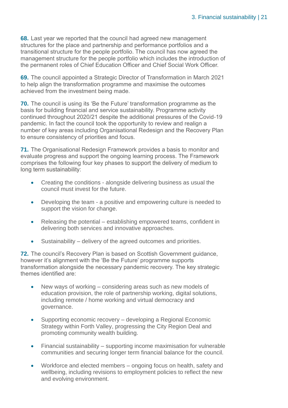**68.** Last year we reported that the council had agreed new management structures for the place and partnership and performance portfolios and a transitional structure for the people portfolio. The council has now agreed the management structure for the people portfolio which includes the introduction of the permanent roles of Chief Education Officer and Chief Social Work Officer.

**69.** The council appointed a Strategic Director of Transformation in March 2021 to help align the transformation programme and maximise the outcomes achieved from the investment being made.

**70.** The council is using its 'Be the Future' transformation programme as the basis for building financial and service sustainability. Programme activity continued throughout 2020/21 despite the additional pressures of the Covid-19 pandemic. In fact the council took the opportunity to review and realign a number of key areas including Organisational Redesign and the Recovery Plan to ensure consistency of priorities and focus.

**71.** The Organisational Redesign Framework provides a basis to monitor and evaluate progress and support the ongoing learning process. The Framework comprises the following four key phases to support the delivery of medium to long term sustainability:

- Creating the conditions alongside delivering business as usual the council must invest for the future.
- Developing the team a positive and empowering culture is needed to support the vision for change.
- Releasing the potential establishing empowered teams, confident in delivering both services and innovative approaches.
- Sustainability delivery of the agreed outcomes and priorities.

**72.** The council's Recovery Plan is based on Scottish Government guidance, however it's alignment with the 'Be the Future' programme supports transformation alongside the necessary pandemic recovery. The key strategic themes identified are:

- New ways of working considering areas such as new models of education provision, the role of partnership working, digital solutions, including remote / home working and virtual democracy and governance.
- Supporting economic recovery developing a Regional Economic Strategy within Forth Valley, progressing the City Region Deal and promoting community wealth building.
- Financial sustainability supporting income maximisation for vulnerable communities and securing longer term financial balance for the council.
- Workforce and elected members ongoing focus on health, safety and wellbeing, including revisions to employment policies to reflect the new and evolving environment.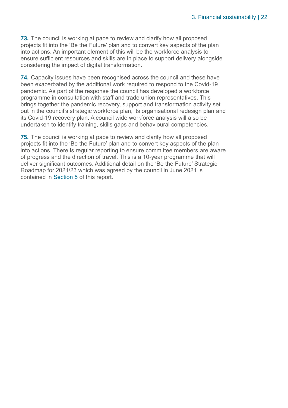**73.** The council is working at pace to review and clarify how all proposed projects fit into the 'Be the Future' plan and to convert key aspects of the plan into actions. An important element of this will be the workforce analysis to ensure sufficient resources and skills are in place to support delivery alongside considering the impact of digital transformation.

**74.** Capacity issues have been recognised across the council and these have been exacerbated by the additional work required to respond to the Covid-19 pandemic. As part of the response the council has developed a workforce programme in consultation with staff and trade union representatives. This brings together the pandemic recovery, support and transformation activity set out in the council's strategic workforce plan, its organisational redesign plan and its Covid-19 recovery plan. A council wide workforce analysis will also be undertaken to identify training, skills gaps and behavioural competencies.

**75.** The council is working at pace to review and clarify how all proposed projects fit into the 'Be the Future' plan and to convert key aspects of the plan into actions. There is regular reporting to ensure committee members are aware of progress and the direction of travel. This is a 10-year programme that will deliver significant outcomes. Additional detail on the 'Be the Future' Strategic Roadmap for 2021/23 which was agreed by the council in June 2021 is contained in Section 5 of this report.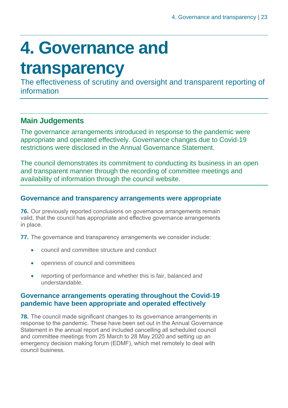## <span id="page-22-0"></span>**4. Governance and**

### **transparency**

The effectiveness of scrutiny and oversight and transparent reporting of information

#### **Main Judgements**

The governance arrangements introduced in response to the pandemic were appropriate and operated effectively. Governance changes due to Covid-19 restrictions were disclosed in the Annual Governance Statement.

The council demonstrates its commitment to conducting its business in an open and transparent manner through the recording of committee meetings and availability of information through the council website.

#### **Governance and transparency arrangements were appropriate**

**76.** Our previously reported conclusions on governance arrangements remain valid, that the council has appropriate and effective governance arrangements in place.

**77.** The governance and transparency arrangements we consider include:

- council and committee structure and conduct
- openness of council and committees
- reporting of performance and whether this is fair, balanced and understandable.

#### **Governance arrangements operating throughout the Covid-19 pandemic have been appropriate and operated effectively**

**78.** The council made significant changes to its governance arrangements in response to the pandemic. These have been set out in the Annual Governance Statement in the annual report and included cancelling all scheduled council and committee meetings from 25 March to 28 May 2020 and setting up an emergency decision making forum (EDMF), which met remotely to deal with council business.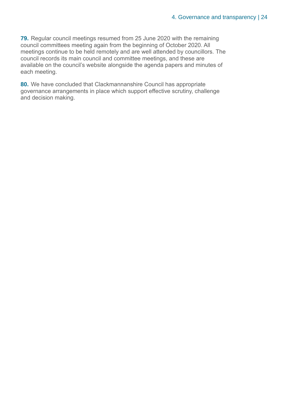**79.** Regular council meetings resumed from 25 June 2020 with the remaining council committees meeting again from the beginning of October 2020. All meetings continue to be held remotely and are well attended by councillors. The council records its main council and committee meetings, and these are available on the council's website alongside the agenda papers and minutes of each meeting.

**80.** We have concluded that Clackmannanshire Council has appropriate governance arrangements in place which support effective scrutiny, challenge and decision making.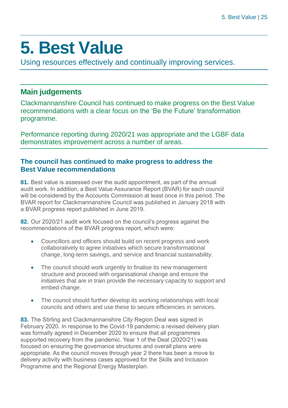### <span id="page-24-0"></span>**5. Best Value**

Using resources effectively and continually improving services.

#### **Main judgements**

Clackmannanshire Council has continued to make progress on the Best Value recommendations with a clear focus on the 'Be the Future' transformation programme.

Performance reporting during 2020/21 was appropriate and the LGBF data demonstrates improvement across a number of areas.

#### **The council has continued to make progress to address the Best Value recommendations**

**81.** Best value is assessed over the audit appointment, as part of the annual audit work. In addition, a Best Value Assurance Report (BVAR) for each council will be considered by the Accounts Commission at least once in this period. The BVAR report for Clackmannanshire Council was published in January 2018 with a BVAR progress report published in June 2019.

**82.** Our 2020/21 audit work focused on the council's progress against the recommendations of the BVAR progress report, which were:

- Councillors and officers should build on recent progress and work collaboratively to agree initiatives which secure transformational change, long-term savings, and service and financial sustainability.
- The council should work urgently to finalise its new management structure and proceed with organisational change and ensure the initiatives that are in train provide the necessary capacity to support and embed change.
- The council should further develop its working relationships with local councils and others and use these to secure efficiencies in services.

**83.** The Stirling and Clackmannanshire City Region Deal was signed in February 2020. In response to the Covid-19 pandemic a revised delivery plan was formally agreed in December 2020 to ensure that all programmes supported recovery from the pandemic. Year 1 of the Deal (2020/21) was focused on ensuring the governance structures and overall plans were appropriate. As the council moves through year 2 there has been a move to delivery activity with business cases approved for the Skills and Inclusion Programme and the Regional Energy Masterplan.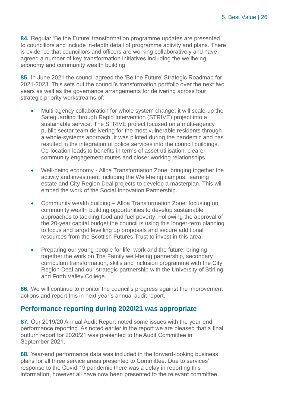**84.** Regular 'Be the Future' transformation programme updates are presented to councillors and include in-depth detail of programme activity and plans. There is evidence that councillors and officers are working collaboratively and have agreed a number of key transformation initiatives including the wellbeing economy and community wealth building.

**85.** In June 2021 the council agreed the 'Be the Future' Strategic Roadmap for 2021-2023. This sets out the council's transformation portfolio over the next two years as well as the governance arrangements for delivering across four strategic priority workstreams of:

- Multi-agency collaboration for whole system change: it will scale-up the Safeguarding through Rapid Intervention (STRIVE) project into a sustainable service. The STRIVE project focused on a multi-agency public sector team delivering for the most vulnerable residents through a whole-systems approach. It was piloted during the pandemic and has resulted in the integration of police services into the council buildings. Co-location leads to benefits in terms of asset utilisation, clearer community engagement routes and closer working relationships.
- Well-being economy Alloa Transformation Zone: bringing together the activity and investment including the Well-being campus, learning estate and City Region Deal projects to develop a masterplan. This will embed the work of the Social Innovation Partnership.
- Community wealth building Alloa Transformation Zone: focusing on community wealth building opportunities to develop sustainable approaches to tackling food and fuel poverty. Following the approval of the 20-year capital budget the council is using this longer-term planning to focus and target levelling up proposals and secure additional resources from the Scottish Futures Trust to invest in this area.
- Preparing our young people for life, work and the future: bringing together the work on The Family well-being partnership, secondary curriculum transformation, skills and inclusion programme with the City Region Deal and our strategic partnership with the University of Stirling and Forth Valley College.

**86.** We will continue to monitor the council's progress against the improvement actions and report this in next year's annual audit report.

#### **Performance reporting during 2020/21 was appropriate**

**87.** Our 2019/20 Annual Audit Report noted some issues with the year-end performance reporting. As noted earlier in the report we are pleased that a final outturn report for 2020/21 was presented to the Audit Committee in September 2021.

**88.** Year-end performance data was included in the forward-looking business plans for all three service areas presented to Committee. Due to services' response to the Covid-19 pandemic there was a delay in reporting this information, however all have now been presented to the relevant committee.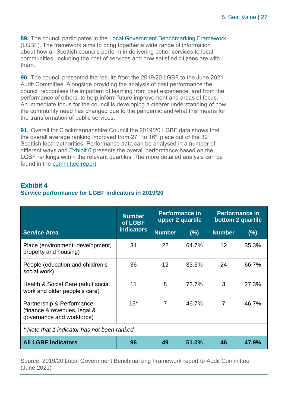**89.** The council participates in the [Local Government Benchmarking Framework](https://www.improvementservice.org.uk/products-and-services/performance-management-and-benchmarking/local-government-benchmarking-framework) (LGBF). The framework aims to bring together a wide range of information about how all Scottish councils perform in delivering better services to local communities, including the cost of services and how satisfied citizens are with them.

**90.** The council presented the results from the 2019/20 LGBF to the June 2021 Audit Committee. Alongside providing the analysis of past performance the council recognises the important of learning from past experience, and from the performance of others, to help inform future improvement and areas of focus. An immediate focus for the council is developing a clearer understanding of how the community need has changed due to the pandemic and what this means for the transformation of public services.

**91.** Overall for Clackmannanshire Council the 2019/20 LGBF data shows that the overall average ranking improved from  $27<sup>th</sup>$  to 16<sup>th</sup> place out of the 32 Scottish local authorities. Performance data can be analysed in a number of different ways and Exhibit 6 presents the overall performance based on the LGBF rankings within the relevant quartiles. The more detailed analysis can be found in the [committee report.](https://www.clacks.gov.uk/document/meeting/289/1083/7056.pdf)

|                                                                                        | <b>Number</b><br>of LGBF | <b>Performance in</b><br>upper 2 quartile |       | <b>Performance in</b><br>bottom 2 quartile |       |
|----------------------------------------------------------------------------------------|--------------------------|-------------------------------------------|-------|--------------------------------------------|-------|
| <b>Service Area</b>                                                                    | <b>indicators</b>        | <b>Number</b>                             | (% )  | <b>Number</b>                              | (%)   |
| Place (environment, development,<br>property and housing)                              | 34                       | 22                                        | 64.7% | 12                                         | 35.3% |
| People (education and children's<br>social work)                                       | 36                       | 12                                        | 33.3% | 24                                         | 66.7% |
| Health & Social Care (adult social<br>work and older people's care)                    | 11                       | 8                                         | 72.7% | 3                                          | 27.3% |
| Partnership & Performance<br>(finance & revenues, legal &<br>governance and workforce) | $15*$                    | $\overline{7}$                            | 46.7% | 7                                          | 46.7% |
| * Note that 1 indicator has not been ranked                                            |                          |                                           |       |                                            |       |
| <b>All LGBF indicators</b>                                                             | 96                       | 49                                        | 51.0% | 46                                         | 47.9% |

#### **Exhibit 4**

#### **Service performance for LGBF indicators in 2019/20**

Source: 2019/20 Local Government Benchmarking Framework report to Audit Committee (June 2021)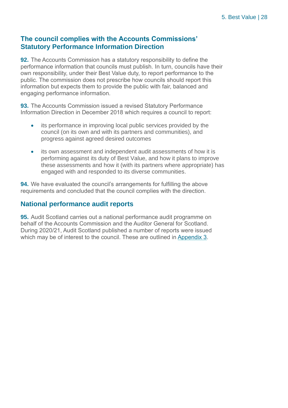#### **The council complies with the Accounts Commissions' Statutory Performance Information Direction**

**92.** The Accounts Commission has a statutory responsibility to define the performance information that councils must publish. In turn, councils have their own responsibility, under their Best Value duty, to report performance to the public. The commission does not prescribe how councils should report this information but expects them to provide the public with fair, balanced and engaging performance information.

**93.** The Accounts Commission issued a revised Statutory Performance Information Direction in December 2018 which requires a council to report:

- its performance in improving local public services provided by the council (on its own and with its partners and communities), and progress against agreed desired outcomes
- its own assessment and independent audit assessments of how it is performing against its duty of Best Value, and how it plans to improve these assessments and how it (with its partners where appropriate) has engaged with and responded to its diverse communities.

**94.** We have evaluated the council's arrangements for fulfilling the above requirements and concluded that the council complies with the direction.

#### **National performance audit reports**

**95.** Audit Scotland carries out a national performance audit programme on behalf of the Accounts Commission and the Auditor General for Scotland. During 2020/21, Audit Scotland published a number of reports were issued which may be of interest to the council. These are outlined in [Appendix 3.](#page-36-0)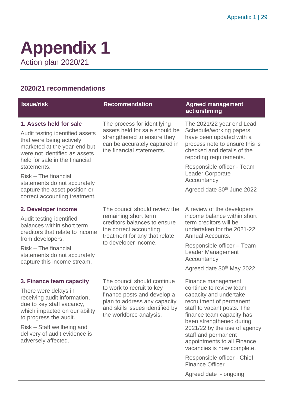### <span id="page-28-0"></span>**Appendix 1** Action plan 2020/21

#### **2020/21 recommendations**

| <b>Issue/risk</b>                                                                                                                                                                                                                                                                                                                  | <b>Recommendation</b>                                                                                                                                                                 | <b>Agreed management</b><br>action/timing                                                                                                                                                                                                                                                                                                                                                        |
|------------------------------------------------------------------------------------------------------------------------------------------------------------------------------------------------------------------------------------------------------------------------------------------------------------------------------------|---------------------------------------------------------------------------------------------------------------------------------------------------------------------------------------|--------------------------------------------------------------------------------------------------------------------------------------------------------------------------------------------------------------------------------------------------------------------------------------------------------------------------------------------------------------------------------------------------|
| 1. Assets held for sale<br>Audit testing identified assets<br>that were being actively<br>marketed at the year-end but<br>were not identified as assets<br>held for sale in the financial<br>statements.<br>Risk - The financial<br>statements do not accurately<br>capture the asset position or<br>correct accounting treatment. | The process for identifying<br>assets held for sale should be<br>strengthened to ensure they<br>can be accurately captured in<br>the financial statements.                            | The 2021/22 year end Lead<br>Schedule/working papers<br>have been updated with a<br>process note to ensure this is<br>checked and details of the<br>reporting requirements.<br>Responsible officer - Team<br><b>Leader Corporate</b><br>Accountancy<br>Agreed date 30 <sup>th</sup> June 2022                                                                                                    |
| 2. Developer income<br>Audit testing identified<br>balances within short term<br>creditors that relate to income<br>from developers.<br>Risk – The financial<br>statements do not accurately<br>capture this income stream.                                                                                                        | The council should review the<br>remaining short term<br>creditors balances to ensure<br>the correct accounting<br>treatment for any that relate<br>to developer income.              | A review of the developers<br>income balance within short<br>term creditors will be<br>undertaken for the 2021-22<br>Annual Accounts.<br>Responsible officer - Team<br><b>Leader Management</b><br>Accountancy<br>Agreed date 30th May 2022                                                                                                                                                      |
| 3. Finance team capacity<br>There were delays in<br>receiving audit information,<br>due to key staff vacancy,<br>which impacted on our ability<br>to progress the audit.<br>Risk – Staff wellbeing and<br>delivery of audit evidence is<br>adversely affected.                                                                     | The council should continue<br>to work to recruit to key<br>finance posts and develop a<br>plan to address any capacity<br>and skills issues identified by<br>the workforce analysis. | Finance management<br>continue to review team<br>capacity and undertake<br>recruitment of permanent<br>staff to vacant posts. The<br>finance team capacity has<br>been strengthened during<br>2021/22 by the use of agency<br>staff and permanent<br>appointments to all Finance<br>vacancies is now complete.<br>Responsible officer - Chief<br><b>Finance Officer</b><br>Agreed date - ongoing |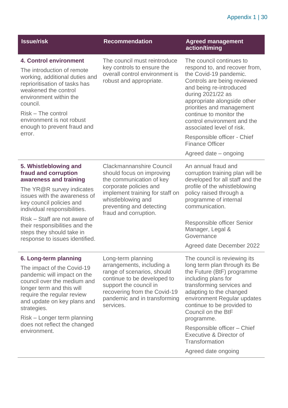#### Appendix 1 | 30

| <b>Issue/risk</b>                                                                                                                                                                                                                                                                                                                  | <b>Recommendation</b>                                                                                                                                                                                                            | <b>Agreed management</b><br>action/timing                                                                                                                                                                                                                                                                                                                                                 |
|------------------------------------------------------------------------------------------------------------------------------------------------------------------------------------------------------------------------------------------------------------------------------------------------------------------------------------|----------------------------------------------------------------------------------------------------------------------------------------------------------------------------------------------------------------------------------|-------------------------------------------------------------------------------------------------------------------------------------------------------------------------------------------------------------------------------------------------------------------------------------------------------------------------------------------------------------------------------------------|
| <b>4. Control environment</b><br>The introduction of remote<br>working, additional duties and<br>reprioritisation of tasks has<br>weakened the control<br>environment within the<br>council.<br>Risk - The control<br>environment is not robust<br>enough to prevent fraud and<br>error.                                           | The council must reintroduce<br>key controls to ensure the<br>overall control environment is<br>robust and appropriate.                                                                                                          | The council continues to<br>respond to, and recover from,<br>the Covid-19 pandemic.<br>Controls are being reviewed<br>and being re-introduced<br>during 2021/22 as<br>appropriate alongside other<br>priorities and management<br>continue to monitor the<br>control environment and the<br>associated level of risk.                                                                     |
|                                                                                                                                                                                                                                                                                                                                    |                                                                                                                                                                                                                                  | Responsible officer - Chief<br><b>Finance Officer</b><br>Agreed date – ongoing                                                                                                                                                                                                                                                                                                            |
| 5. Whistleblowing and<br>fraud and corruption<br>awareness and training<br>The YR@R survey indicates<br>issues with the awareness of<br>key council policies and<br>individual responsibilities.<br>Risk – Staff are not aware of<br>their responsibilities and the<br>steps they should take in<br>response to issues identified. | <b>Clackmannanshire Council</b><br>should focus on improving<br>the communication of key<br>corporate policies and<br>implement training for staff on<br>whistleblowing and<br>preventing and detecting<br>fraud and corruption. | An annual fraud and<br>corruption training plan will be<br>developed for all staff and the<br>profile of the whistleblowing<br>policy raised through a<br>programme of internal<br>communication.<br>Responsible officer Senior<br>Manager, Legal &<br>Governance<br>Agreed date December 2022                                                                                            |
| 6. Long-term planning<br>The impact of the Covid-19<br>pandemic will impact on the<br>council over the medium and<br>longer term and this will<br>require the regular review<br>and update on key plans and<br>strategies.<br>Risk – Longer term planning<br>does not reflect the changed<br>environment.                          | Long-term planning<br>arrangements, including a<br>range of scenarios, should<br>continue to be developed to<br>support the council in<br>recovering from the Covid-19<br>pandemic and in transforming<br>services.              | The council is reviewing its<br>long term plan through its Be<br>the Future (BtF) programme<br>including plans for<br>transforming services and<br>adapting to the changed<br>environment Regular updates<br>continue to be provided to<br>Council on the BtF<br>programme.<br>Responsible officer - Chief<br><b>Executive &amp; Director of</b><br>Transformation<br>Agreed date ongoing |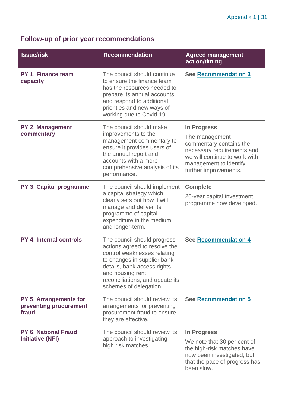#### **Follow-up of prior year recommendations**

| <b>Issue/risk</b>                                                | <b>Recommendation</b>                                                                                                                                                                                                                      | <b>Agreed management</b><br>action/timing                                                                                                                                  |
|------------------------------------------------------------------|--------------------------------------------------------------------------------------------------------------------------------------------------------------------------------------------------------------------------------------------|----------------------------------------------------------------------------------------------------------------------------------------------------------------------------|
| <b>PY 1. Finance team</b><br>capacity                            | The council should continue<br>to ensure the finance team<br>has the resources needed to<br>prepare its annual accounts<br>and respond to additional<br>priorities and new ways of<br>working due to Covid-19.                             | <b>See Recommendation 3</b>                                                                                                                                                |
| <b>PY 2. Management</b><br>commentary                            | The council should make<br>improvements to the<br>management commentary to<br>ensure it provides users of<br>the annual report and<br>accounts with a more<br>comprehensive analysis of its<br>performance.                                | In Progress<br>The management<br>commentary contains the<br>necessary requirements and<br>we will continue to work with<br>management to identify<br>further improvements. |
| PY 3. Capital programme                                          | The council should implement<br>a capital strategy which<br>clearly sets out how it will<br>manage and deliver its<br>programme of capital<br>expenditure in the medium<br>and longer-term.                                                | <b>Complete</b><br>20-year capital investment<br>programme now developed.                                                                                                  |
| <b>PY 4. Internal controls</b>                                   | The council should progress<br>actions agreed to resolve the<br>control weaknesses relating<br>to changes in supplier bank<br>details, bank access rights<br>and housing rent<br>reconciliations, and update its<br>schemes of delegation. | <b>See Recommendation 4</b>                                                                                                                                                |
| <b>PY 5. Arrangements for</b><br>preventing procurement<br>fraud | The council should review its<br>arrangements for preventing<br>procurement fraud to ensure<br>they are effective.                                                                                                                         | <b>See Recommendation 5</b>                                                                                                                                                |
| PY 6. National Fraud<br><b>Initiative (NFI)</b>                  | The council should review its<br>approach to investigating<br>high risk matches.                                                                                                                                                           | In Progress<br>We note that 30 per cent of<br>the high-risk matches have<br>now been investigated, but<br>that the pace of progress has<br>been slow.                      |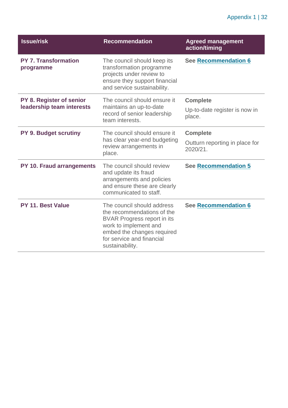| <b>Issue/risk</b>                                     | <b>Recommendation</b>                                                                                                                                                                                 | <b>Agreed management</b><br>action/timing                     |
|-------------------------------------------------------|-------------------------------------------------------------------------------------------------------------------------------------------------------------------------------------------------------|---------------------------------------------------------------|
| <b>PY 7. Transformation</b><br>programme              | The council should keep its<br>transformation programme<br>projects under review to<br>ensure they support financial<br>and service sustainability.                                                   | <b>See Recommendation 6</b>                                   |
| PY 8. Register of senior<br>leadership team interests | The council should ensure it<br>maintains an up-to-date<br>record of senior leadership<br>team interests.                                                                                             | <b>Complete</b><br>Up-to-date register is now in<br>place.    |
| <b>PY 9. Budget scrutiny</b>                          | The council should ensure it<br>has clear year-end budgeting<br>review arrangements in<br>place.                                                                                                      | <b>Complete</b><br>Outturn reporting in place for<br>2020/21. |
| <b>PY 10. Fraud arrangements</b>                      | The council should review<br>and update its fraud<br>arrangements and policies<br>and ensure these are clearly<br>communicated to staff.                                                              | <b>See Recommendation 5</b>                                   |
| PY 11. Best Value                                     | The council should address<br>the recommendations of the<br><b>BVAR Progress report in its</b><br>work to implement and<br>embed the changes required<br>for service and financial<br>sustainability. | <b>See Recommendation 6</b>                                   |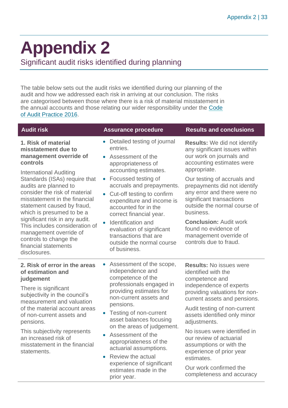### <span id="page-32-0"></span>**Appendix 2**

Significant audit risks identified during planning

The table below sets out the audit risks we identified during our planning of the audit and how we addressed each risk in arriving at our conclusion. The risks are categorised between those where there is a risk of material misstatement in the annual accounts and those relating our wider responsibility under the [Code](http://www.audit-scotland.gov.uk/report/code-of-audit-practice-2016)  [of Audit Practice 2016.](http://www.audit-scotland.gov.uk/report/code-of-audit-practice-2016)

| <b>Audit risk</b>                                                                                                                                                                                                                                                                                                                                                                                                                                                        | <b>Assurance procedure</b>                                                                                                                                                                                                                                                                                                                                                                                                                      | <b>Results and conclusions</b>                                                                                                                                                                                                                                                                                                                                                                                                             |
|--------------------------------------------------------------------------------------------------------------------------------------------------------------------------------------------------------------------------------------------------------------------------------------------------------------------------------------------------------------------------------------------------------------------------------------------------------------------------|-------------------------------------------------------------------------------------------------------------------------------------------------------------------------------------------------------------------------------------------------------------------------------------------------------------------------------------------------------------------------------------------------------------------------------------------------|--------------------------------------------------------------------------------------------------------------------------------------------------------------------------------------------------------------------------------------------------------------------------------------------------------------------------------------------------------------------------------------------------------------------------------------------|
| 1. Risk of material<br>misstatement due to<br>management override of<br>controls<br><b>International Auditing</b><br>Standards (ISAs) require that<br>audits are planned to<br>consider the risk of material<br>misstatement in the financial<br>statement caused by fraud,<br>which is presumed to be a<br>significant risk in any audit.<br>This includes consideration of<br>management override of<br>controls to change the<br>financial statements<br>disclosures. | Detailed testing of journal<br>entries.<br>• Assessment of the<br>appropriateness of<br>accounting estimates.<br>Focussed testing of<br>$\bullet$<br>accruals and prepayments.<br>Cut-off testing to confirm<br>$\bullet$<br>expenditure and income is<br>accounted for in the<br>correct financial year.<br>Identification and<br>$\bullet$<br>evaluation of significant<br>transactions that are<br>outside the normal course<br>of business. | <b>Results:</b> We did not identify<br>any significant issues within<br>our work on journals and<br>accounting estimates were<br>appropriate.<br>Our testing of accruals and<br>prepayments did not identify<br>any error and there were no<br>significant transactions<br>outside the normal course of<br>business.<br><b>Conclusion: Audit work</b><br>found no evidence of<br>management override of<br>controls due to fraud.          |
| 2. Risk of error in the areas<br>of estimation and<br>judgement<br>There is significant<br>subjectivity in the council's<br>measurement and valuation<br>of the material account areas<br>of non-current assets and<br>pensions.<br>This subjectivity represents<br>an increased risk of<br>misstatement in the financial<br>statements.                                                                                                                                 | Assessment of the scope,<br>independence and<br>competence of the<br>professionals engaged in<br>providing estimates for<br>non-current assets and<br>pensions.<br>Testing of non-current<br>asset balances focusing<br>on the areas of judgement.<br>Assessment of the<br>appropriateness of the<br>actuarial assumptions.<br>Review the actual<br>experience of significant<br>estimates made in the<br>prior year.                           | <b>Results: No issues were</b><br>identified with the<br>competence and<br>independence of experts<br>providing valuations for non-<br>current assets and pensions.<br>Audit testing of non-current<br>assets identified only minor<br>adjustments.<br>No issues were identified in<br>our review of actuarial<br>assumptions or with the<br>experience of prior year<br>estimates.<br>Our work confirmed the<br>completeness and accuracy |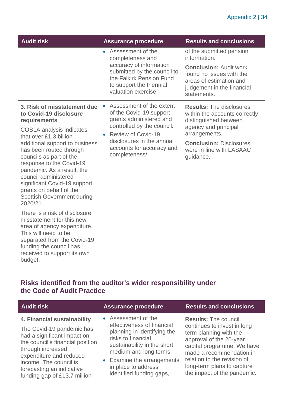| <b>Audit risk</b>                                                                                                                                                                                                                                                                  | <b>Assurance procedure</b>                                                                                                                                                                                                                     | <b>Results and conclusions</b>                                                                                                                                                |
|------------------------------------------------------------------------------------------------------------------------------------------------------------------------------------------------------------------------------------------------------------------------------------|------------------------------------------------------------------------------------------------------------------------------------------------------------------------------------------------------------------------------------------------|-------------------------------------------------------------------------------------------------------------------------------------------------------------------------------|
|                                                                                                                                                                                                                                                                                    | Assessment of the<br>$\bullet$<br>completeness and<br>accuracy of information<br>submitted by the council to<br>the Falkirk Pension Fund<br>to support the triennial<br>valuation exercise.                                                    | of the submitted pension<br>information.<br><b>Conclusion: Audit work</b><br>found no issues with the<br>areas of estimation and<br>judgement in the financial<br>statements. |
| 3. Risk of misstatement due<br>to Covid-19 disclosure<br>requirements                                                                                                                                                                                                              | Assessment of the extent<br>$\bullet$<br>of the Covid-19 support<br>grants administered and<br>controlled by the council.<br><b>Review of Covid-19</b><br>$\bullet$<br>disclosures in the annual<br>accounts for accuracy and<br>completeness/ | <b>Results: The disclosures</b><br>within the accounts correctly<br>distinguished between<br>agency and principal<br>arrangements.                                            |
| <b>COSLA</b> analysis indicates<br>that over £1.3 billion                                                                                                                                                                                                                          |                                                                                                                                                                                                                                                |                                                                                                                                                                               |
| additional support to business<br>has been routed through<br>councils as part of the<br>response to the Covid-19<br>pandemic. As a result, the<br>council administered<br>significant Covid-19 support<br>grants on behalf of the<br><b>Scottish Government during</b><br>2020/21. |                                                                                                                                                                                                                                                | <b>Conclusion: Disclosures</b><br>were in line with LASAAC<br>guidance.                                                                                                       |
| There is a risk of disclosure<br>misstatement for this new<br>area of agency expenditure.<br>This will need to be<br>separated from the Covid-19<br>funding the council has                                                                                                        |                                                                                                                                                                                                                                                |                                                                                                                                                                               |

#### **Risks identified from the auditor's wider responsibility under the Code of Audit Practice**

received to support its own

budget.

| <b>Audit risk</b>                                                                                                                                                                                                                                                  | <b>Assurance procedure</b>                                                                                                                                                                                                                        | <b>Results and conclusions</b>                                                                                                                                                                                                                                        |
|--------------------------------------------------------------------------------------------------------------------------------------------------------------------------------------------------------------------------------------------------------------------|---------------------------------------------------------------------------------------------------------------------------------------------------------------------------------------------------------------------------------------------------|-----------------------------------------------------------------------------------------------------------------------------------------------------------------------------------------------------------------------------------------------------------------------|
| 4. Financial sustainability<br>The Covid-19 pandemic has<br>had a significant impact on<br>the council's financial position<br>through increased<br>expenditure and reduced<br>income. The council is<br>forecasting an indicative<br>funding gap of £13.7 million | • Assessment of the<br>effectiveness of financial<br>planning in identifying the<br>risks to financial<br>sustainability in the short,<br>medium and long terms.<br>• Examine the arrangements<br>in place to address<br>identified funding gaps, | <b>Results: The council</b><br>continues to invest in long<br>term planning with the<br>approval of the 20-year<br>capital programme. We have<br>made a recommendation in<br>relation to the revision of<br>long-term plans to capture<br>the impact of the pandemic. |
|                                                                                                                                                                                                                                                                    |                                                                                                                                                                                                                                                   |                                                                                                                                                                                                                                                                       |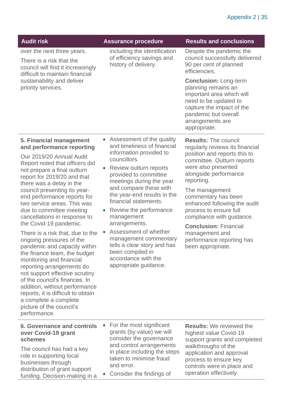| <b>Audit risk</b>                                                                                                                                                                                                                                                                                                                                                                                                                                                                                                                                                                                                                                                                                                                                                                                        | <b>Assurance procedure</b>                                                                                                                                                                                                                                                                                                                                                                                                                                                                                                             | <b>Results and conclusions</b>                                                                                                                                                                                                                                                                                                                                                                                                 |
|----------------------------------------------------------------------------------------------------------------------------------------------------------------------------------------------------------------------------------------------------------------------------------------------------------------------------------------------------------------------------------------------------------------------------------------------------------------------------------------------------------------------------------------------------------------------------------------------------------------------------------------------------------------------------------------------------------------------------------------------------------------------------------------------------------|----------------------------------------------------------------------------------------------------------------------------------------------------------------------------------------------------------------------------------------------------------------------------------------------------------------------------------------------------------------------------------------------------------------------------------------------------------------------------------------------------------------------------------------|--------------------------------------------------------------------------------------------------------------------------------------------------------------------------------------------------------------------------------------------------------------------------------------------------------------------------------------------------------------------------------------------------------------------------------|
| over the next three years.<br>There is a risk that the<br>council will find it increasingly<br>difficult to maintain financial<br>sustainability and deliver<br>priority services.                                                                                                                                                                                                                                                                                                                                                                                                                                                                                                                                                                                                                       | including the identification<br>of efficiency savings and<br>history of delivery.                                                                                                                                                                                                                                                                                                                                                                                                                                                      | Despite the pandemic the<br>council successfully delivered<br>90 per cent of planned<br>efficiencies.                                                                                                                                                                                                                                                                                                                          |
|                                                                                                                                                                                                                                                                                                                                                                                                                                                                                                                                                                                                                                                                                                                                                                                                          |                                                                                                                                                                                                                                                                                                                                                                                                                                                                                                                                        | <b>Conclusion: Long-term</b><br>planning remains an<br>important area which will<br>need to be updated to<br>capture the impact of the<br>pandemic but overall<br>arrangements are<br>appropriate.                                                                                                                                                                                                                             |
| 5. Financial management<br>and performance reporting<br>Our 2019/20 Annual Audit<br>Report noted that officers did<br>not prepare a final outturn<br>report for 2019/20 and that<br>there was a delay in the<br>council presenting its year-<br>end performance reports for<br>two service areas. This was<br>due to committee meeting<br>cancellations in response to<br>the Covid-19 pandemic.<br>There is a risk that, due to the<br>ongoing pressures of the<br>pandemic and capacity within<br>the finance team, the budget<br>monitoring and financial<br>reporting arrangements do<br>not support effective scrutiny<br>of the council's finances. In<br>addition, without performance<br>reports, it is difficult to obtain<br>a complete a complete<br>picture of the council's<br>performance. | Assessment of the quality<br>$\bullet$<br>and timeliness of financial<br>information provided to<br>councillors.<br>Review outturn reports<br>$\bullet$<br>provided to committee<br>meetings during the year<br>and compare these with<br>the year-end results in the<br>financial statements.<br>Review the performance<br>$\bullet$<br>management<br>arrangements.<br>Assessment of whether<br>$\bullet$<br>management commentary<br>tells a clear story and has<br>been compiled in<br>accordance with the<br>appropriate guidance. | <b>Results: The council</b><br>regularly reviews its financial<br>position and reports this to<br>committee. Outturn reports<br>were also presented<br>alongside performance<br>reporting.<br>The management<br>commentary has been<br>enhanced following the audit<br>process to ensure full<br>compliance with guidance.<br><b>Conclusion: Financial</b><br>management and<br>performance reporting has<br>been appropriate. |
| <b>6. Governance and controls</b><br>over Covid-19 grant<br>schemes<br>The council has had a key<br>role in supporting local<br>businesses through<br>distribution of grant support<br>funding. Decision-making in a                                                                                                                                                                                                                                                                                                                                                                                                                                                                                                                                                                                     | For the most significant<br>$\bullet$<br>grants (by value) we will<br>consider the governance<br>and control arrangements<br>in place including the steps<br>taken to minimise fraud<br>and error.<br>Consider the findings of                                                                                                                                                                                                                                                                                                         | <b>Results:</b> We reviewed the<br>highest value Covid-19<br>support grants and completed<br>walkthroughs of the<br>application and approval<br>process to ensure key<br>controls were in place and<br>operation effectively.                                                                                                                                                                                                  |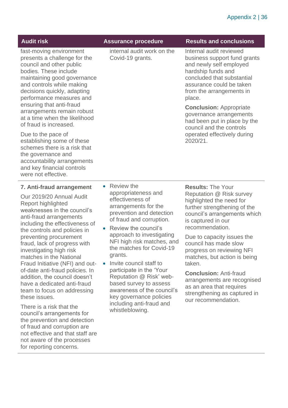| <b>Audit risk</b>                                                                                                                                                                                                                                                                                                                                                                                                                                                                                                                                                                                                                                                                                                                   | <b>Assurance procedure</b>                                                                                                                                                                                                                                                                                                                                                                                                                                                                       | <b>Results and conclusions</b>                                                                                                                                                                                                                                                                                                                                                                                                                                             |
|-------------------------------------------------------------------------------------------------------------------------------------------------------------------------------------------------------------------------------------------------------------------------------------------------------------------------------------------------------------------------------------------------------------------------------------------------------------------------------------------------------------------------------------------------------------------------------------------------------------------------------------------------------------------------------------------------------------------------------------|--------------------------------------------------------------------------------------------------------------------------------------------------------------------------------------------------------------------------------------------------------------------------------------------------------------------------------------------------------------------------------------------------------------------------------------------------------------------------------------------------|----------------------------------------------------------------------------------------------------------------------------------------------------------------------------------------------------------------------------------------------------------------------------------------------------------------------------------------------------------------------------------------------------------------------------------------------------------------------------|
| fast-moving environment<br>presents a challenge for the<br>council and other public<br>bodies. These include<br>maintaining good governance<br>and controls while making<br>decisions quickly, adapting<br>performance measures and<br>ensuring that anti-fraud<br>arrangements remain robust<br>at a time when the likelihood<br>of fraud is increased.<br>Due to the pace of<br>establishing some of these<br>schemes there is a risk that<br>the governance and<br>accountability arrangements<br>and key financial controls<br>were not effective.                                                                                                                                                                              | internal audit work on the<br>Covid-19 grants.                                                                                                                                                                                                                                                                                                                                                                                                                                                   | Internal audit reviewed<br>business support fund grants<br>and newly self employed<br>hardship funds and<br>concluded that substantial<br>assurance could be taken<br>from the arrangements in<br>place.<br><b>Conclusion: Appropriate</b><br>governance arrangements<br>had been put in place by the<br>council and the controls<br>operated effectively during<br>2020/21.                                                                                               |
| 7. Anti-fraud arrangement<br>Our 2019/20 Annual Audit<br>Report highlighted<br>weaknesses in the council's<br>anti-fraud arrangements<br>including the effectiveness of<br>the controls and policies in<br>preventing procurement<br>fraud, lack of progress with<br>investigating high risk<br>matches in the National<br>Fraud Initiative (NFI) and out-<br>of-date anti-fraud policies. In<br>addition, the council doesn't<br>have a dedicated anti-fraud<br>team to focus on addressing<br>these issues.<br>There is a risk that the<br>council's arrangements for<br>the prevention and detection<br>of fraud and corruption are<br>not effective and that staff are<br>not aware of the processes<br>for reporting concerns. | Review the<br>$\bullet$<br>appropriateness and<br>effectiveness of<br>arrangements for the<br>prevention and detection<br>of fraud and corruption.<br>Review the council's<br>approach to investigating<br>NFI high risk matches, and<br>the matches for Covid-19<br>grants.<br>Invite council staff to<br>participate in the 'Your<br>Reputation @ Risk' web-<br>based survey to assess<br>awareness of the council's<br>key governance policies<br>including anti-fraud and<br>whistleblowing. | <b>Results: The Your</b><br>Reputation @ Risk survey<br>highlighted the need for<br>further strengthening of the<br>council's arrangements which<br>is captured in our<br>recommendation.<br>Due to capacity issues the<br>council has made slow<br>progress on reviewing NFI<br>matches, but action is being<br>taken.<br><b>Conclusion: Anti-fraud</b><br>arrangements are recognised<br>as an area that requires<br>strengthening as captured in<br>our recommendation. |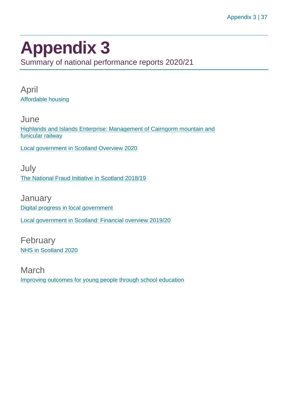### <span id="page-36-0"></span>**Appendix 3**

Summary of national performance reports 2020/21

April [Affordable housing](https://www.audit-scotland.gov.uk/report/affordable-housing)

**June** [Highlands and Islands Enterprise: Management of Cairngorm mountain and](https://www.audit-scotland.gov.uk/report/highlands-and-islands-enterprise-management-of-cairngorm-mountain-and-funicular-railway)  [funicular railway](https://www.audit-scotland.gov.uk/report/highlands-and-islands-enterprise-management-of-cairngorm-mountain-and-funicular-railway)

[Local government in Scotland Overview 2020](https://www.audit-scotland.gov.uk/report/local-government-in-scotland-overview-2020)

July [The National Fraud Initiative in Scotland 2018/19](https://www.audit-scotland.gov.uk/report/the-national-fraud-initiative-in-scotland-201819)

**January** [Digital progress in local government](https://www.audit-scotland.gov.uk/report/digital-progress-in-local-government) [Local government in Scotland: Financial overview 2019/20](https://www.audit-scotland.gov.uk/report/local-government-in-scotland-financial-overview-201920)

February [NHS in Scotland 2020](https://www.audit-scotland.gov.uk/report/nhs-in-scotland-2020)

March [Improving outcomes for young people through school education](https://www.audit-scotland.gov.uk/report/improving-outcomes-for-young-people-through-school-education)